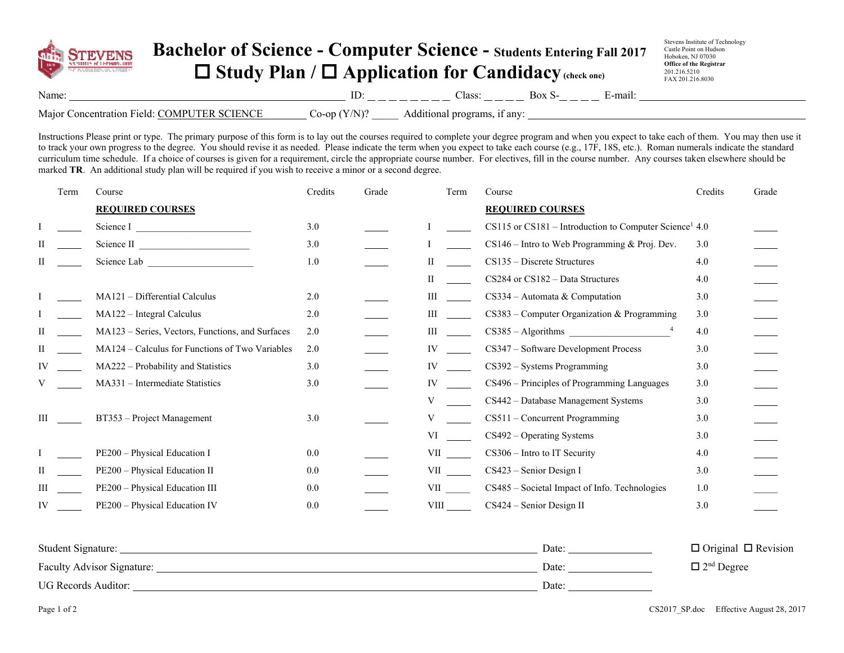

## **Bachelor of Science - Computer Science - Students Entering Fall 2017 Study Plan / Application for Candidacy (check one)**

Stevens Institute of Technology Castle Point on Hudson Hoboken, NJ 07030 **Office of the Registrar**  201.216.5210 FAX 201.216.8030

| Name:                                                                 | the company's company's company's | lass:<br>______<br>$ -$<br><b>State Control</b> | ``<br>the company's company's company's | $\sim$<br>11.a.u |
|-----------------------------------------------------------------------|-----------------------------------|-------------------------------------------------|-----------------------------------------|------------------|
| Major<br>DI.<br>$\mathbf{N}$<br>oncentrat<br>rınn<br>'ield'<br>* INTE | −∩r                               | anv                                             |                                         |                  |

Instructions Please print or type. The primary purpose of this form is to lay out the courses required to complete your degree program and when you expect to take each of them. You may then use it to track your own progress to the degree. You should revise it as needed. Please indicate the term when you expect to take each course (e.g., 17F, 18S, etc.). Roman numerals indicate the standard curriculum time schedule. If a choice of courses is given for a requirement, circle the appropriate course number. For electives, fill in the course number. Any courses taken elsewhere should be marked **TR**. An additional study plan will be required if you wish to receive a minor or a second degree.

|    | Term | Course                                           | Credits | Grade | Term     | Course                                                                 | Credits | Grade |
|----|------|--------------------------------------------------|---------|-------|----------|------------------------------------------------------------------------|---------|-------|
|    |      | <b>REQUIRED COURSES</b>                          |         |       |          | <b>REQUIRED COURSES</b>                                                |         |       |
|    |      | Science I                                        | 3.0     |       |          | $CS115$ or $CS181$ – Introduction to Computer Science <sup>1</sup> 4.0 |         |       |
| Н  |      | Science II                                       | 3.0     |       |          | $CS146$ – Intro to Web Programming & Proj. Dev.                        | 3.0     |       |
| Н  |      | Science Lab <b>Exercise Lab</b>                  | 1.0     |       | П        | $CS135 - Discrete Structures$                                          | 4.0     |       |
|    |      |                                                  |         |       | H        | CS284 or CS182 - Data Structures                                       | 4.0     |       |
|    |      | MA121 - Differential Calculus                    | 2.0     |       | Ш        | $CS334 -$ Automata & Computation                                       | 3.0     |       |
|    |      | MA122 - Integral Calculus                        | 2.0     |       | Ш        | $CS383$ – Computer Organization & Programming                          | 3.0     |       |
| П  |      | MA123 – Series, Vectors, Functions, and Surfaces | 2.0     |       | Ш        | $CS385 - Algorithms$                                                   | 4.0     |       |
| П  |      | MA124 – Calculus for Functions of Two Variables  | 2.0     |       | IV       | CS347 - Software Development Process                                   | 3.0     |       |
| IV |      | MA222 - Probability and Statistics               | 3.0     |       | IV       | $CS392 - Systems Programming$                                          | 3.0     |       |
|    |      | MA331 - Intermediate Statistics                  | 3.0     |       | IV       | CS496 – Principles of Programming Languages                            | 3.0     |       |
|    |      |                                                  |         |       | V        | CS442 - Database Management Systems                                    | 3.0     |       |
| Ш  |      | BT353 – Project Management                       | 3.0     |       | V        | CS511 - Concurrent Programming                                         | 3.0     |       |
|    |      |                                                  |         |       | VI       | $CS492 - Operating Systems$                                            | 3.0     |       |
|    |      | PE200 - Physical Education I                     | 0.0     |       | VII QUEL | $CS306$ – Intro to IT Security                                         | 4.0     |       |
| П  |      | PE200 - Physical Education II                    | 0.0     |       |          | $CS423$ – Senior Design I                                              | 3.0     |       |
| Ш  |      | PE200 - Physical Education III                   | 0.0     |       | VII      | CS485 - Societal Impact of Info. Technologies                          | 1.0     |       |
| IV |      | PE200 - Physical Education IV                    | 0.0     |       | VIII     | CS424 - Senior Design II                                               | 3.0     |       |
|    |      |                                                  |         |       |          |                                                                        |         |       |

| Student Signature:         | Date: | $\Box$ Original $\Box$ Revision |
|----------------------------|-------|---------------------------------|
| Faculty Advisor Signature: | Date: | $\Box$ 2 <sup>nd</sup> Degree   |
| UG Records Auditor:        | Date: |                                 |